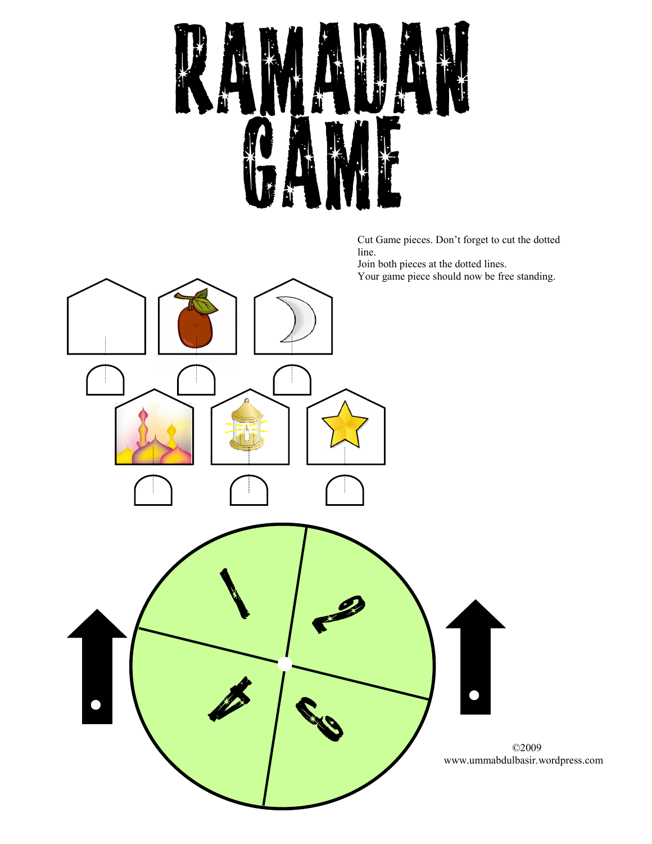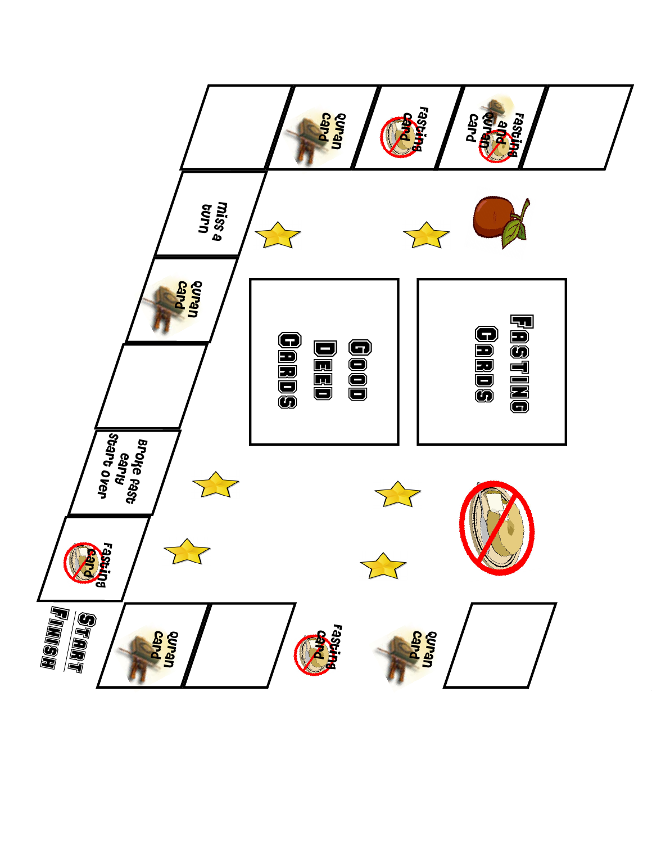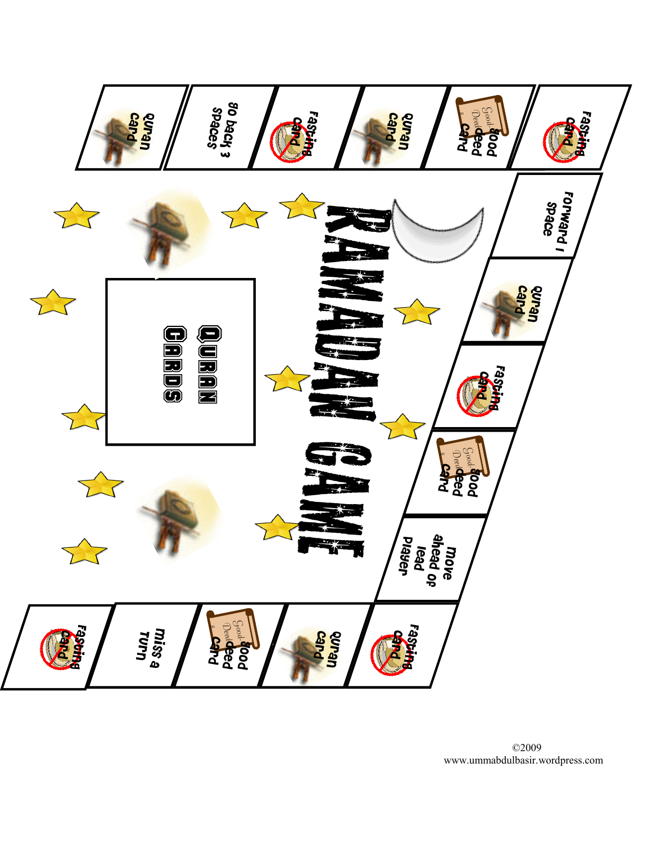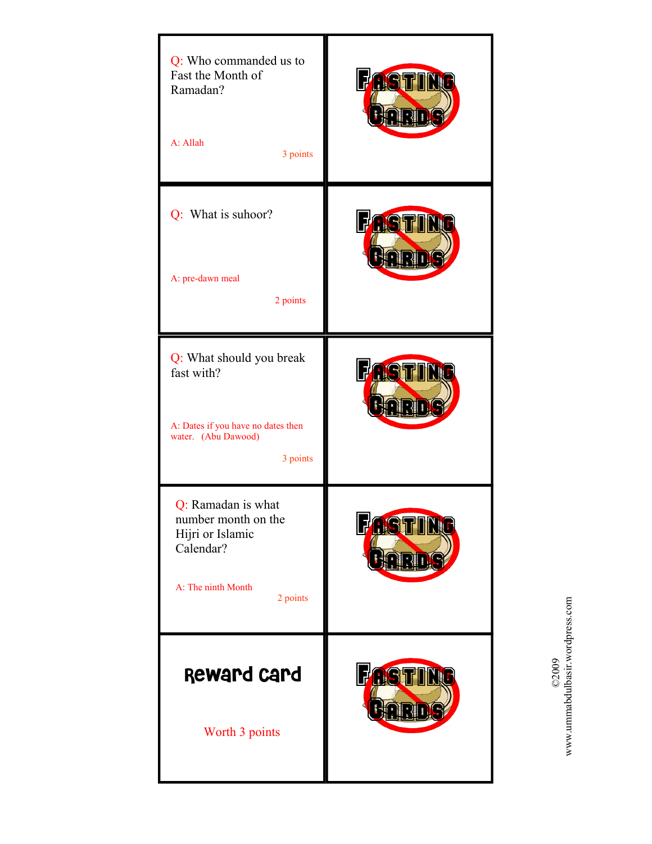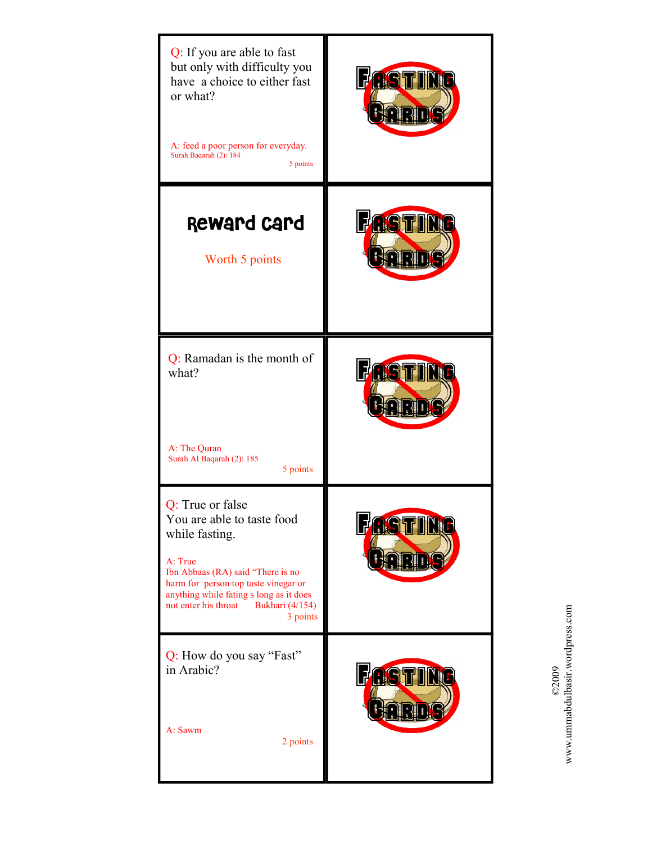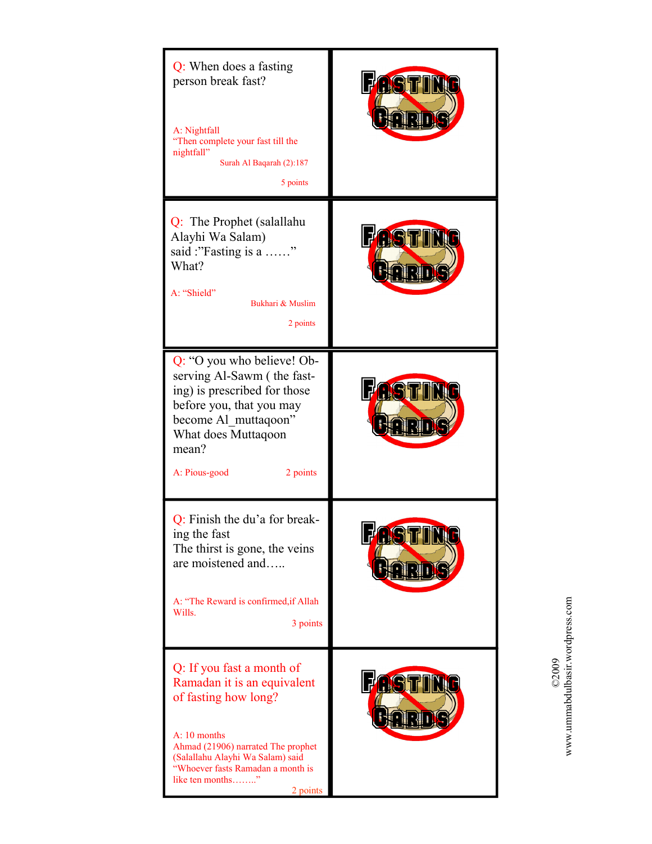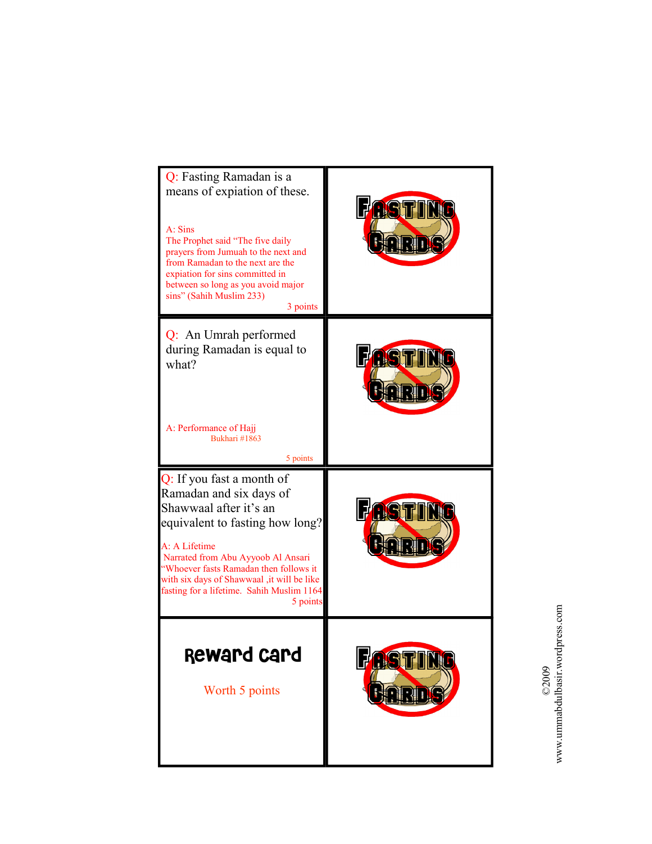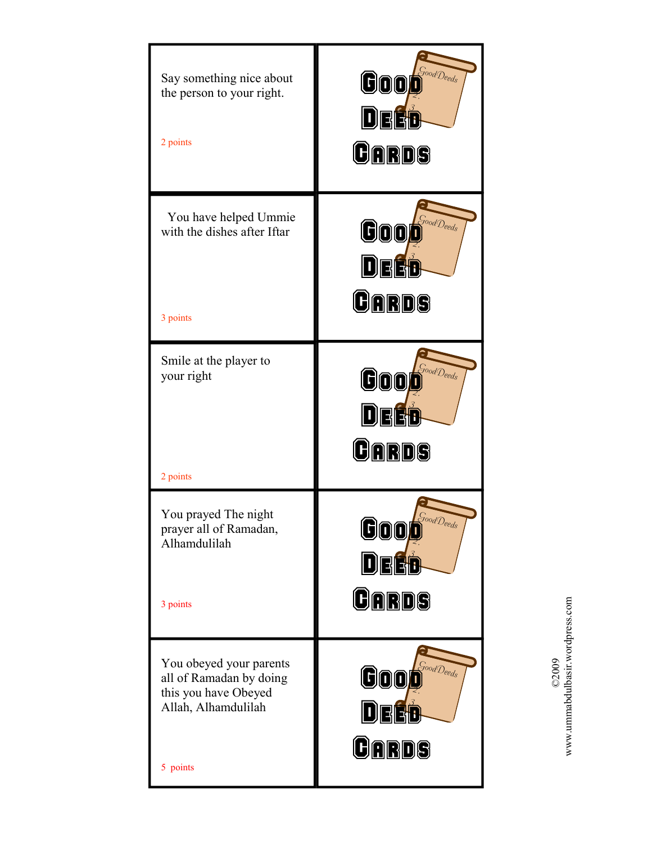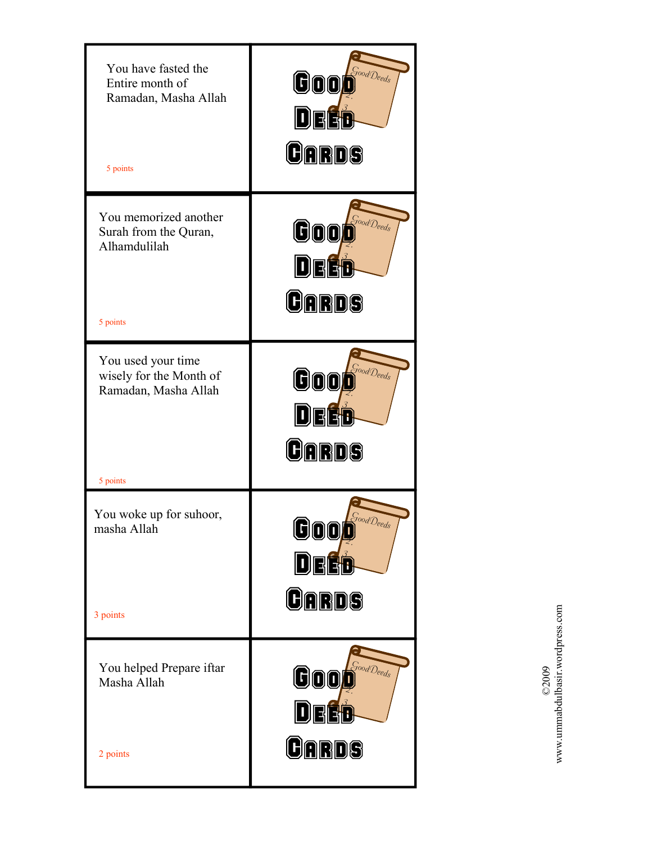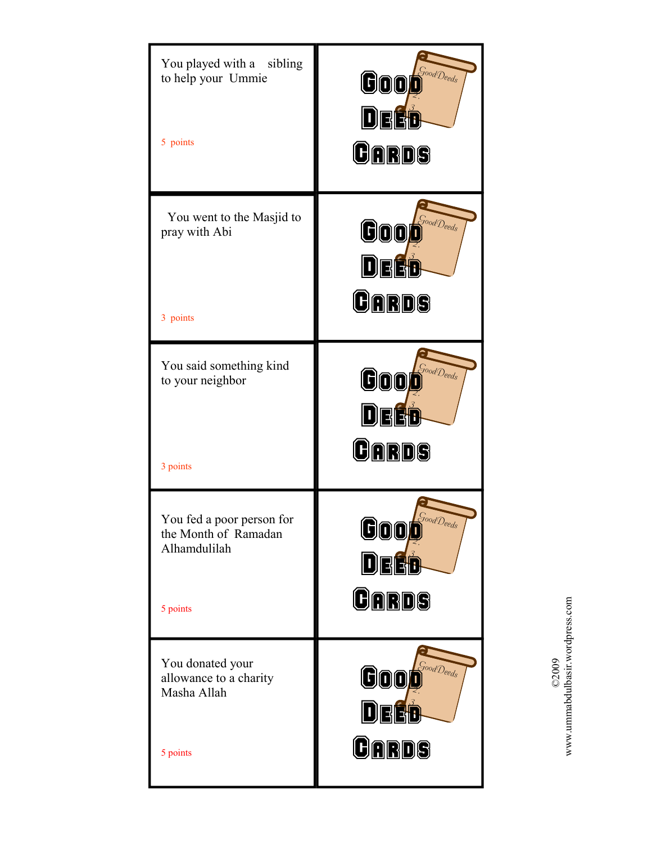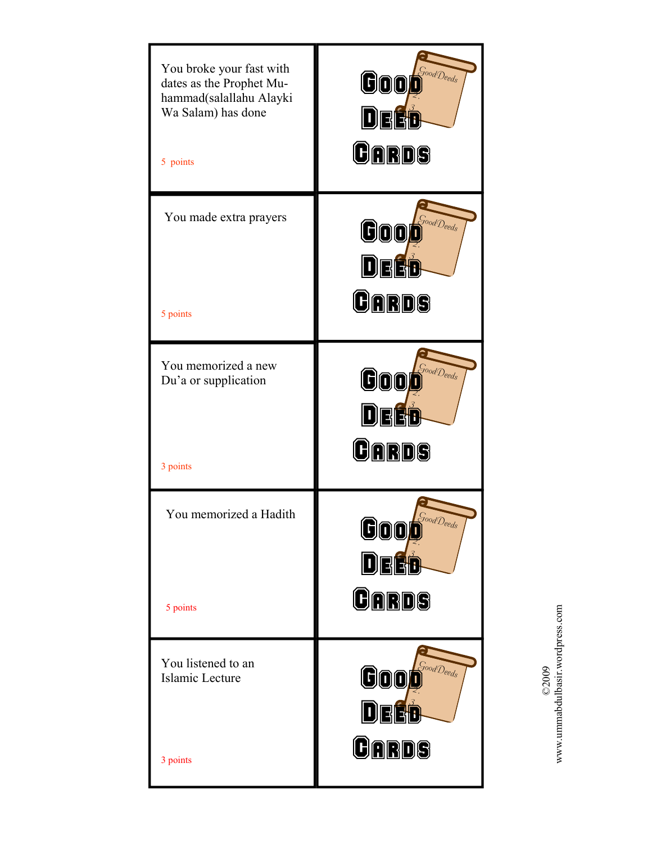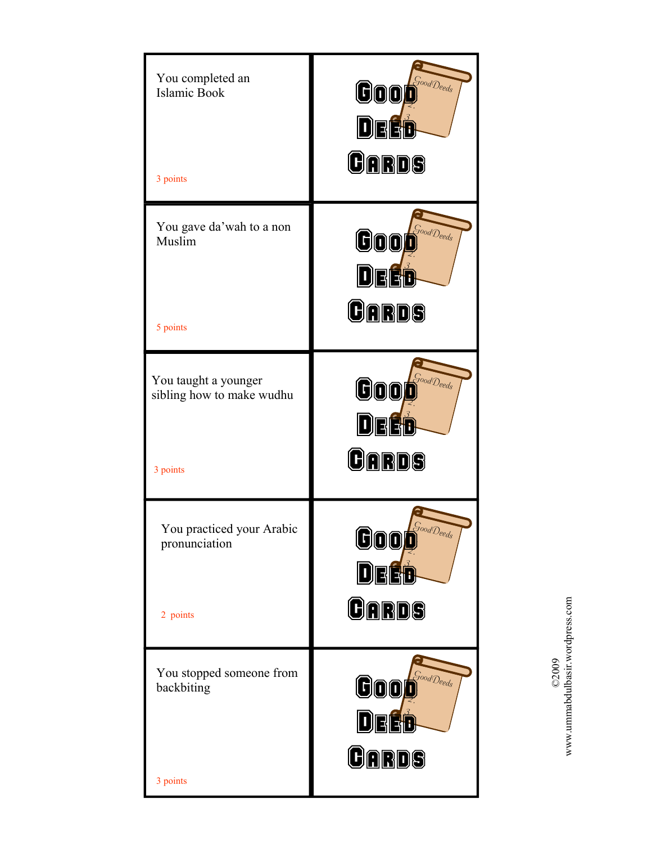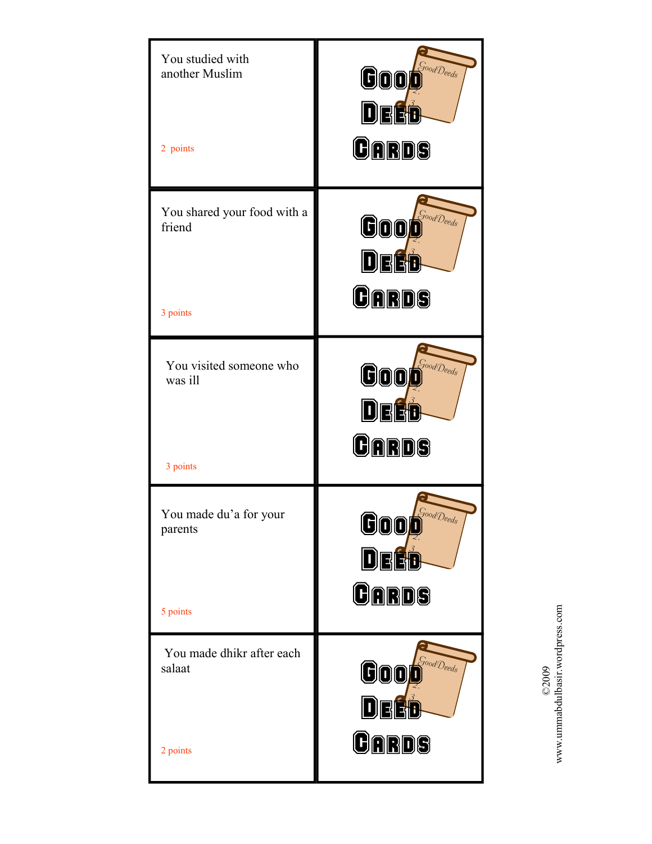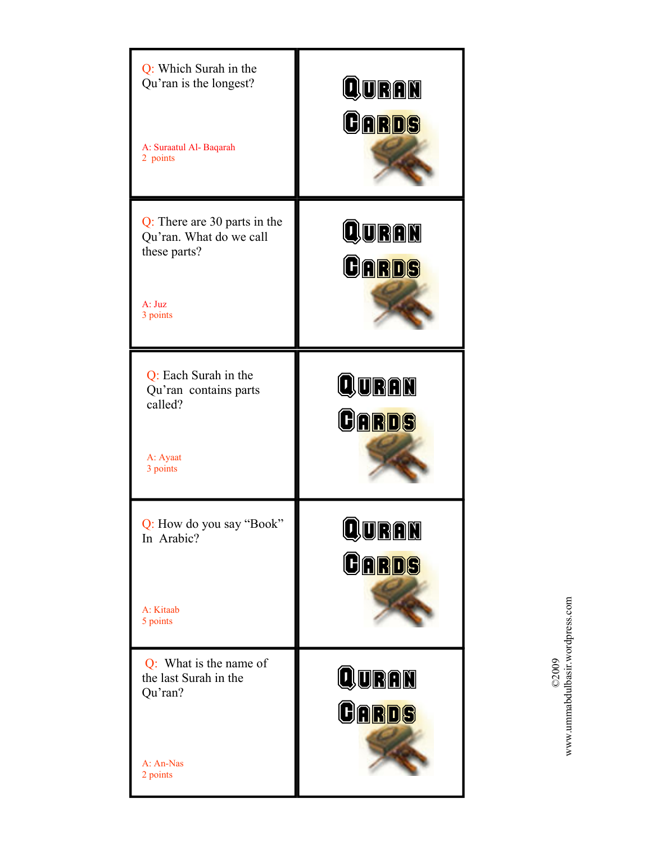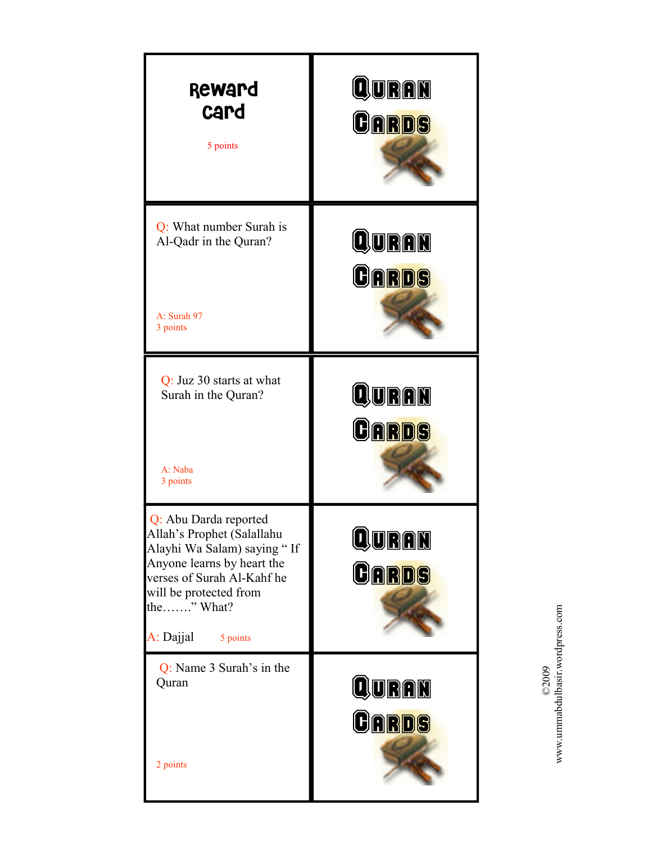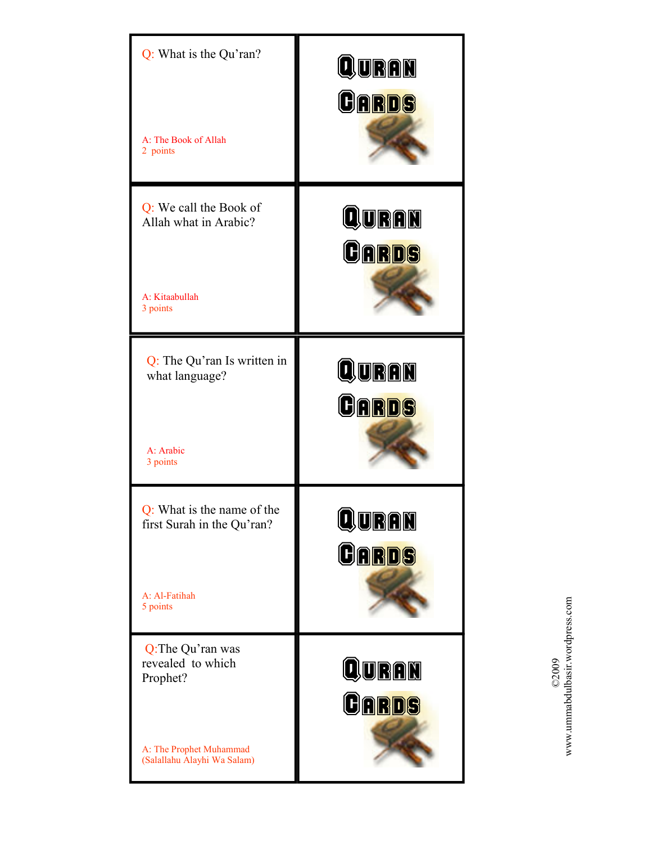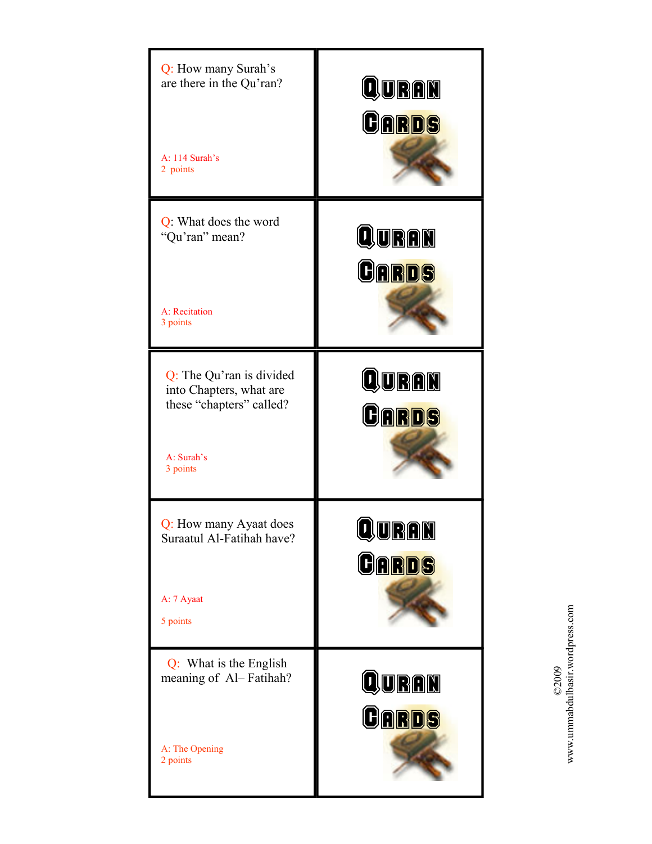